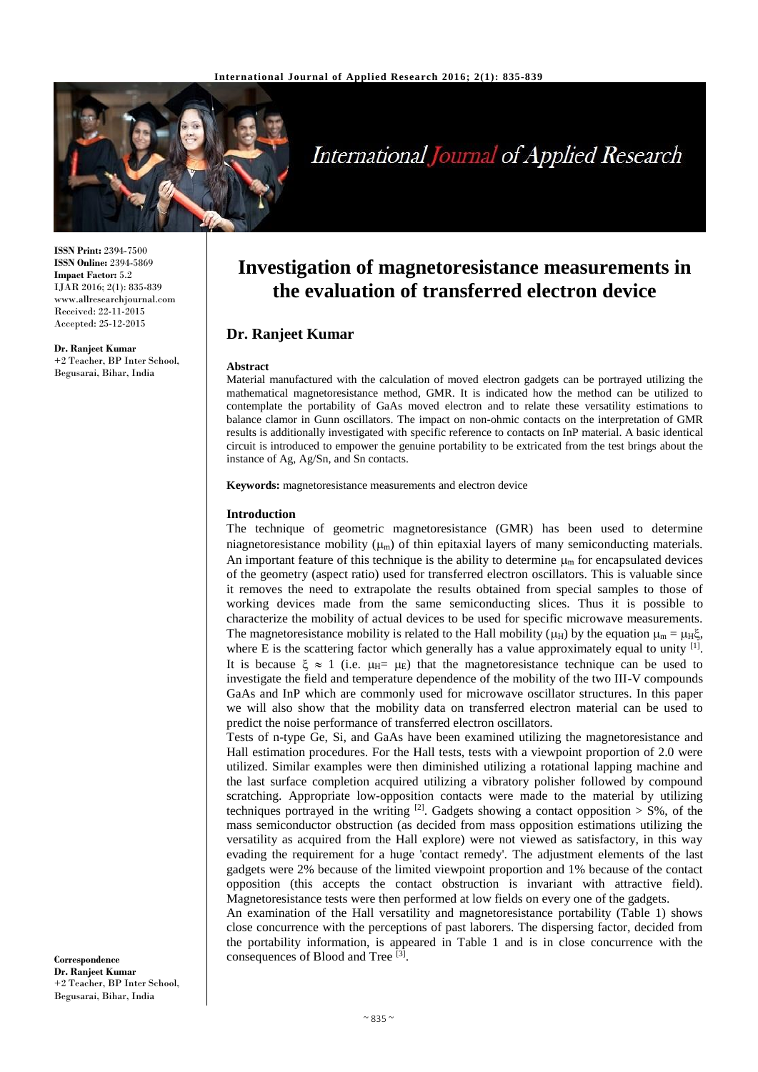

# **International Journal of Applied Research**

**ISSN Print:** 2394-7500 **ISSN Online:** 2394-5869 **Impact Factor:** 5.2 IJAR 2016; 2(1): 835-839 www.allresearchjournal.com Received: 22-11-2015 Accepted: 25-12-2015

**Dr. Ranjeet Kumar**

+2 Teacher, BP Inter School, Begusarai, Bihar, India

# **Investigation of magnetoresistance measurements in the evaluation of transferred electron device**

# **Dr. Ranjeet Kumar**

#### **Abstract**

Material manufactured with the calculation of moved electron gadgets can be portrayed utilizing the mathematical magnetoresistance method, GMR. It is indicated how the method can be utilized to contemplate the portability of GaAs moved electron and to relate these versatility estimations to balance clamor in Gunn oscillators. The impact on non-ohmic contacts on the interpretation of GMR results is additionally investigated with specific reference to contacts on InP material. A basic identical circuit is introduced to empower the genuine portability to be extricated from the test brings about the instance of Ag, Ag/Sn, and Sn contacts.

**Keywords:** magnetoresistance measurements and electron device

#### **Introduction**

The technique of geometric magnetoresistance (GMR) has been used to determine niagnetoresistance mobility  $(\mu_m)$  of thin epitaxial layers of many semiconducting materials. An important feature of this technique is the ability to determine  $\mu_{\rm m}$  for encapsulated devices of the geometry (aspect ratio) used for transferred electron oscillators. This is valuable since it removes the need to extrapolate the results obtained from special samples to those of working devices made from the same semiconducting slices. Thus it is possible to characterize the mobility of actual devices to be used for specific microwave measurements. The magnetoresistance mobility is related to the Hall mobility ( $\mu_H$ ) by the equation  $\mu_m = \mu_H \xi$ , where E is the scattering factor which generally has a value approximately equal to unity  $[1]$ . It is because  $\xi \approx 1$  (i.e.  $\mu_H = \mu_E$ ) that the magnetoresistance technique can be used to investigate the field and temperature dependence of the mobility of the two III-V compounds GaAs and InP which are commonly used for microwave oscillator structures. In this paper we will also show that the mobility data on transferred electron material can be used to predict the noise performance of transferred electron oscillators.

Tests of n-type Ge, Si, and GaAs have been examined utilizing the magnetoresistance and Hall estimation procedures. For the Hall tests, tests with a viewpoint proportion of 2.0 were utilized. Similar examples were then diminished utilizing a rotational lapping machine and the last surface completion acquired utilizing a vibratory polisher followed by compound scratching. Appropriate low-opposition contacts were made to the material by utilizing techniques portrayed in the writing  $^{[2]}$ . Gadgets showing a contact opposition  $>$  S%, of the mass semiconductor obstruction (as decided from mass opposition estimations utilizing the versatility as acquired from the Hall explore) were not viewed as satisfactory, in this way evading the requirement for a huge 'contact remedy'. The adjustment elements of the last gadgets were 2% because of the limited viewpoint proportion and 1% because of the contact opposition (this accepts the contact obstruction is invariant with attractive field). Magnetoresistance tests were then performed at low fields on every one of the gadgets.

An examination of the Hall versatility and magnetoresistance portability (Table 1) shows close concurrence with the perceptions of past laborers. The dispersing factor, decided from the portability information, is appeared in Table 1 and is in close concurrence with the consequences of Blood and Tree [3].

**Correspondence Dr. Ranjeet Kumar** +2 Teacher, BP Inter School, Begusarai, Bihar, India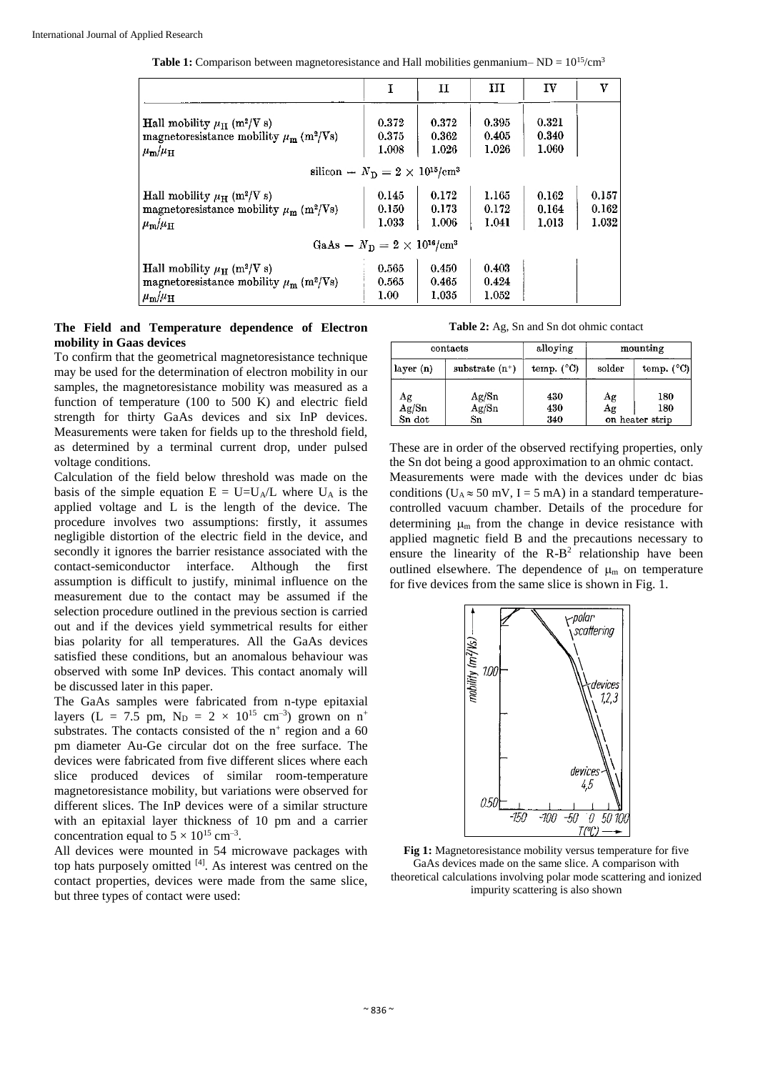**Table 1:** Comparison between magnetoresistance and Hall mobilities genmanium–  $ND = 10^{15}/\text{cm}^3$ 

|                                                                                                                                                 |                         | 11                      | ш                       | IV                      | v                       |  |  |
|-------------------------------------------------------------------------------------------------------------------------------------------------|-------------------------|-------------------------|-------------------------|-------------------------|-------------------------|--|--|
| Hall mobility $\mu_{\rm H}$ (m <sup>2</sup> /V s)<br>magnetoresistance mobility $\mu_{\rm m}$ (m <sup>2</sup> /Vs)<br>$\mu_{\rm m}/\mu_{\rm H}$ | 0.372<br>0.375<br>1.008 | 0.372<br>0.362<br>1.026 | 0.395<br>0.405<br>1.026 | 0.321<br>0.340<br>1.060 |                         |  |  |
| silicon – $N_{\rm D} = 2 \times 10^{15}$ /cm <sup>3</sup>                                                                                       |                         |                         |                         |                         |                         |  |  |
| Hall mobility $\mu_{\rm H}$ (m <sup>2</sup> /V s)<br>magnetoresistance mobility $\mu_{\rm m}$ (m <sup>2</sup> /Vs)<br>$\mu_{\rm m}/\mu_{\rm H}$ | 0.145<br>0.150<br>1.033 | 0.172<br>0.173<br>1.006 | 1.165<br>0.172<br>1.041 | 0.162<br>0.164<br>1.013 | 0.157<br>0.162<br>1.032 |  |  |
| GaAs – $N_{\rm B} = 2 \times 10^{16}$ /cm <sup>3</sup>                                                                                          |                         |                         |                         |                         |                         |  |  |
| Hall mobility $\mu_H$ (m <sup>2</sup> /V s)<br>magnetoresistance mobility $\mu_{\rm m}$ (m <sup>2</sup> /Vs)<br>$\mu_{\rm m}/\mu_{\rm H}$       | 0.565<br>0.565<br>1.00  | 0.450<br>0.465<br>1.035 | 0.403<br>0.424<br>1.052 |                         |                         |  |  |

#### **The Field and Temperature dependence of Electron mobility in Gaas devices**

To confirm that the geometrical magnetoresistance technique may be used for the determination of electron mobility in our samples, the magnetoresistance mobility was measured as a function of temperature (100 to 500 K) and electric field strength for thirty GaAs devices and six InP devices. Measurements were taken for fields up to the threshold field, as determined by a terminal current drop, under pulsed voltage conditions.

Calculation of the field below threshold was made on the basis of the simple equation  $E = U=U_A/L$  where  $U_A$  is the applied voltage and L is the length of the device. The procedure involves two assumptions: firstly, it assumes negligible distortion of the electric field in the device, and secondly it ignores the barrier resistance associated with the contact-semiconductor interface. Although the first assumption is difficult to justify, minimal influence on the measurement due to the contact may be assumed if the selection procedure outlined in the previous section is carried out and if the devices yield symmetrical results for either bias polarity for all temperatures. All the GaAs devices satisfied these conditions, but an anomalous behaviour was observed with some InP devices. This contact anomaly will be discussed later in this paper.

The GaAs samples were fabricated from n-type epitaxial layers (L = 7.5 pm,  $N_D = 2 \times 10^{15}$  cm<sup>-3</sup>) grown on n<sup>+</sup> substrates. The contacts consisted of the  $n^+$  region and a 60 pm diameter Au-Ge circular dot on the free surface. The devices were fabricated from five different slices where each slice produced devices of similar room-temperature magnetoresistance mobility, but variations were observed for different slices. The InP devices were of a similar structure with an epitaxial layer thickness of 10 pm and a carrier concentration equal to  $5 \times 10^{15}$  cm<sup>-3</sup>.

All devices were mounted in 54 microwave packages with top hats purposely omitted [4]. As interest was centred on the contact properties, devices were made from the same slice, but three types of contact were used:

**Table 2:** Ag, Sn and Sn dot ohmic contact

| contacts                                    |                      | alloying            | mounting                          |                               |  |
|---------------------------------------------|----------------------|---------------------|-----------------------------------|-------------------------------|--|
| layer (n)                                   | substrate $(n^+)$    | temp. $(^{\circ}C)$ | solder                            | temp. $(^{\circ}C)$           |  |
| $\frac{\text{Ag}}{\text{Ag}}$ /Sn<br>Sn dot | Ag/Sn<br>Ag/Sn<br>Sn | 430<br>430<br>340   | $\frac{\mathrm{Ag}}{\mathrm{Ag}}$ | 180<br>180<br>on heater strip |  |

These are in order of the observed rectifying properties, only the Sn dot being a good approximation to an ohmic contact. Measurements were made with the devices under dc bias conditions ( $U_A \approx 50$  mV, I = 5 mA) in a standard temperaturecontrolled vacuum chamber. Details of the procedure for determining  $\mu_{m}$  from the change in device resistance with applied magnetic field B and the precautions necessary to ensure the linearity of the  $R-B^2$  relationship have been outlined elsewhere. The dependence of  $\mu$  on temperature for five devices from the same slice is shown in Fig. 1.



**Fig 1:** Magnetoresistance mobility versus temperature for five GaAs devices made on the same slice. A comparison with theoretical calculations involving polar mode scattering and ionized impurity scattering is also shown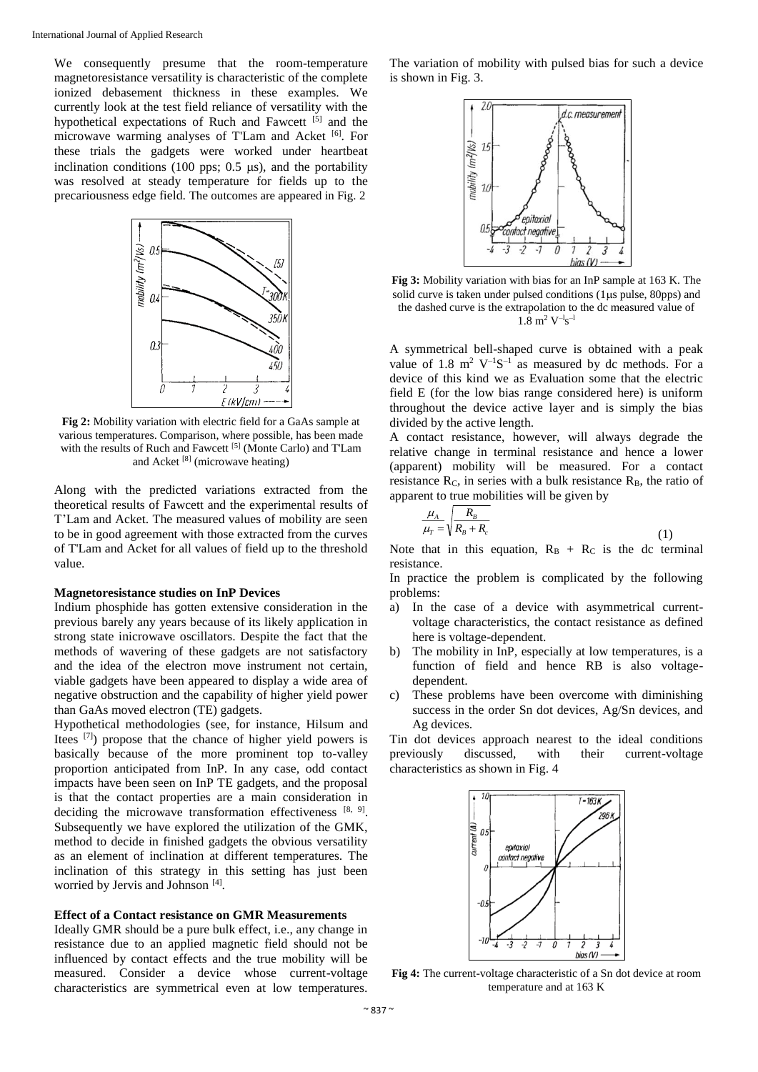We consequently presume that the room-temperature magnetoresistance versatility is characteristic of the complete ionized debasement thickness in these examples. We currently look at the test field reliance of versatility with the hypothetical expectations of Ruch and Fawcett [5] and the microwave warming analyses of T'Lam and Acket [6]. For these trials the gadgets were worked under heartbeat inclination conditions (100 pps;  $0.5 \mu s$ ), and the portability was resolved at steady temperature for fields up to the precariousness edge field. The outcomes are appeared in Fig. 2



**Fig 2:** Mobility variation with electric field for a GaAs sample at various temperatures. Comparison, where possible, has been made with the results of Ruch and Fawcett [5] (Monte Carlo) and T'Lam and Acket [8] (microwave heating)

Along with the predicted variations extracted from the theoretical results of Fawcett and the experimental results of T'Lam and Acket. The measured values of mobility are seen to be in good agreement with those extracted from the curves of T'Lam and Acket for all values of field up to the threshold value.

#### **Magnetoresistance studies on InP Devices**

Indium phosphide has gotten extensive consideration in the previous barely any years because of its likely application in strong state inicrowave oscillators. Despite the fact that the methods of wavering of these gadgets are not satisfactory and the idea of the electron move instrument not certain, viable gadgets have been appeared to display a wide area of negative obstruction and the capability of higher yield power than GaAs moved electron (TE) gadgets.

Hypothetical methodologies (see, for instance, Hilsum and Itees [7]) propose that the chance of higher yield powers is basically because of the more prominent top to-valley proportion anticipated from InP. In any case, odd contact impacts have been seen on InP TE gadgets, and the proposal is that the contact properties are a main consideration in deciding the microwave transformation effectiveness  $[8, 9]$ . Subsequently we have explored the utilization of the GMK, method to decide in finished gadgets the obvious versatility as an element of inclination at different temperatures. The inclination of this strategy in this setting has just been worried by Jervis and Johnson<sup>[4]</sup>.

#### **Effect of a Contact resistance on GMR Measurements**

Ideally GMR should be a pure bulk effect, i.e., any change in resistance due to an applied magnetic field should not be influenced by contact effects and the true mobility will be measured. Consider a device whose current-voltage characteristics are symmetrical even at low temperatures.

The variation of mobility with pulsed bias for such a device is shown in Fig. 3.



**Fig 3:** Mobility variation with bias for an InP sample at 163 K. The solid curve is taken under pulsed conditions  $(1 \mu s \text{ pulse}, 80 \text{pps})$  and the dashed curve is the extrapolation to the dc measured value of  $1.8~{\rm m^2~V^{-1}s^{-1}}$ 

A symmetrical bell-shaped curve is obtained with a peak value of 1.8  $m^2$  V<sup>-1</sup>S<sup>-1</sup> as measured by dc methods. For a device of this kind we as Evaluation some that the electric field E (for the low bias range considered here) is uniform throughout the device active layer and is simply the bias divided by the active length.

A contact resistance, however, will always degrade the relative change in terminal resistance and hence a lower (apparent) mobility will be measured. For a contact resistance  $R_c$ , in series with a bulk resistance  $R_B$ , the ratio of apparent to true mobilities will be given by

$$
\frac{\mu_A}{\mu_T} = \sqrt{\frac{R_B}{R_B + R_c}}\tag{1}
$$

Note that in this equation,  $R_B + R_C$  is the dc terminal resistance.

In practice the problem is complicated by the following problems:

- a) In the case of a device with asymmetrical currentvoltage characteristics, the contact resistance as defined here is voltage-dependent.
- b) The mobility in InP, especially at low temperatures, is a function of field and hence RB is also voltagedependent.
- c) These problems have been overcome with diminishing success in the order Sn dot devices, Ag/Sn devices, and Ag devices.

Tin dot devices approach nearest to the ideal conditions previously discussed, with their current-voltage characteristics as shown in Fig. 4



**Fig 4:** The current-voltage characteristic of a Sn dot device at room temperature and at 163 K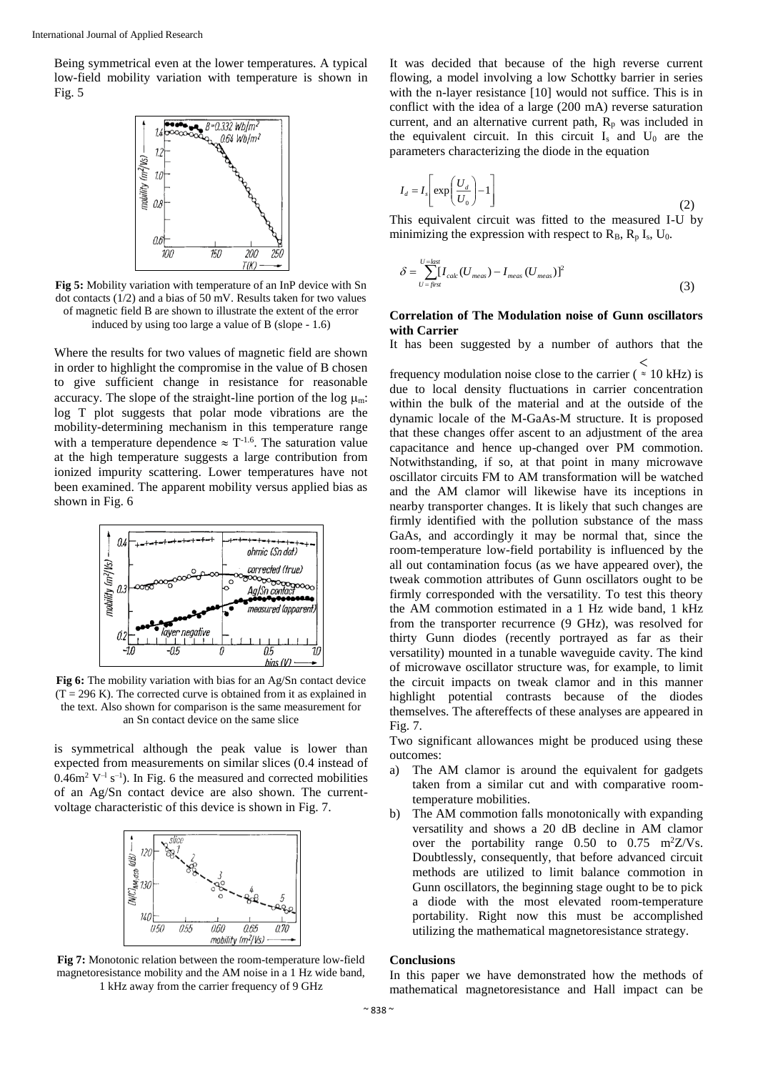Being symmetrical even at the lower temperatures. A typical low-field mobility variation with temperature is shown in Fig. 5



**Fig 5:** Mobility variation with temperature of an InP device with Sn dot contacts (1/2) and a bias of 50 mV. Results taken for two values of magnetic field B are shown to illustrate the extent of the error induced by using too large a value of B (slope - 1.6)

Where the results for two values of magnetic field are shown in order to highlight the compromise in the value of B chosen to give sufficient change in resistance for reasonable accuracy. The slope of the straight-line portion of the log  $\mu_m$ : log T plot suggests that polar mode vibrations are the mobility-determining mechanism in this temperature range with a temperature dependence  $\approx$  T<sup>-1.6</sup>. The saturation value at the high temperature suggests a large contribution from ionized impurity scattering. Lower temperatures have not been examined. The apparent mobility versus applied bias as shown in Fig. 6



**Fig 6:** The mobility variation with bias for an Ag/Sn contact device  $(T = 296 \text{ K})$ . The corrected curve is obtained from it as explained in the text. Also shown for comparison is the same measurement for an Sn contact device on the same slice

is symmetrical although the peak value is lower than expected from measurements on similar slices (0.4 instead of  $0.46m^2$  V<sup>-1</sup> s<sup>-1</sup>). In Fig. 6 the measured and corrected mobilities of an Ag/Sn contact device are also shown. The currentvoltage characteristic of this device is shown in Fig. 7.



**Fig 7:** Monotonic relation between the room-temperature low-field magnetoresistance mobility and the AM noise in a 1 Hz wide band, 1 kHz away from the carrier frequency of 9 GHz

It was decided that because of the high reverse current flowing, a model involving a low Schottky barrier in series with the n-layer resistance [10] would not suffice. This is in conflict with the idea of a large (200 mA) reverse saturation current, and an alternative current path,  $R<sub>p</sub>$  was included in the equivalent circuit. In this circuit  $I_s$  and  $U_0$  are the parameters characterizing the diode in the equation

$$
I_d = I_s \left[ \exp\left(\frac{U_d}{U_0}\right) - 1 \right] \tag{2}
$$

This equivalent circuit was fitted to the measured I-U by minimizing the expression with respect to  $R_B$ ,  $R_p$  I<sub>s</sub>, U<sub>0</sub>.

$$
\delta = \sum_{U = \text{first}}^{U = \text{last}} [I_{calc}(U_{\text{meas}}) - I_{\text{meas}}(U_{\text{meas}})]^2
$$
\n(3)

### **Correlation of The Modulation noise of Gunn oscillators with Carrier**

It has been suggested by a number of authors that the

frequency modulation noise close to the carrier ( $\approx 10$  kHz) is  $\,<$ due to local density fluctuations in carrier concentration within the bulk of the material and at the outside of the dynamic locale of the M-GaAs-M structure. It is proposed that these changes offer ascent to an adjustment of the area capacitance and hence up-changed over PM commotion. Notwithstanding, if so, at that point in many microwave oscillator circuits FM to AM transformation will be watched and the AM clamor will likewise have its inceptions in nearby transporter changes. It is likely that such changes are firmly identified with the pollution substance of the mass GaAs, and accordingly it may be normal that, since the room-temperature low-field portability is influenced by the all out contamination focus (as we have appeared over), the tweak commotion attributes of Gunn oscillators ought to be firmly corresponded with the versatility. To test this theory the AM commotion estimated in a 1 Hz wide band, 1 kHz from the transporter recurrence (9 GHz), was resolved for thirty Gunn diodes (recently portrayed as far as their versatility) mounted in a tunable waveguide cavity. The kind of microwave oscillator structure was, for example, to limit the circuit impacts on tweak clamor and in this manner highlight potential contrasts because of the diodes themselves. The aftereffects of these analyses are appeared in Fig. 7.

Two significant allowances might be produced using these outcomes:

- a) The AM clamor is around the equivalent for gadgets taken from a similar cut and with comparative roomtemperature mobilities.
- b) The AM commotion falls monotonically with expanding versatility and shows a 20 dB decline in AM clamor over the portability range  $0.50$  to  $0.75$  m<sup>2</sup>Z/Vs. Doubtlessly, consequently, that before advanced circuit methods are utilized to limit balance commotion in Gunn oscillators, the beginning stage ought to be to pick a diode with the most elevated room-temperature portability. Right now this must be accomplished utilizing the mathematical magnetoresistance strategy.

#### **Conclusions**

In this paper we have demonstrated how the methods of mathematical magnetoresistance and Hall impact can be